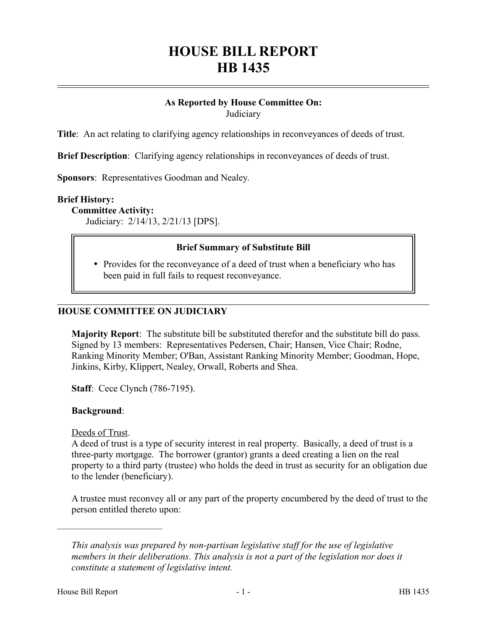# **HOUSE BILL REPORT HB 1435**

# **As Reported by House Committee On:**

**Judiciary** 

**Title**: An act relating to clarifying agency relationships in reconveyances of deeds of trust.

**Brief Description**: Clarifying agency relationships in reconveyances of deeds of trust.

**Sponsors**: Representatives Goodman and Nealey.

#### **Brief History:**

**Committee Activity:**

Judiciary: 2/14/13, 2/21/13 [DPS].

# **Brief Summary of Substitute Bill**

• Provides for the reconveyance of a deed of trust when a beneficiary who has been paid in full fails to request reconveyance.

#### **HOUSE COMMITTEE ON JUDICIARY**

**Majority Report**: The substitute bill be substituted therefor and the substitute bill do pass. Signed by 13 members: Representatives Pedersen, Chair; Hansen, Vice Chair; Rodne, Ranking Minority Member; O'Ban, Assistant Ranking Minority Member; Goodman, Hope, Jinkins, Kirby, Klippert, Nealey, Orwall, Roberts and Shea.

**Staff**: Cece Clynch (786-7195).

#### **Background**:

Deeds of Trust.

––––––––––––––––––––––

A deed of trust is a type of security interest in real property. Basically, a deed of trust is a three-party mortgage. The borrower (grantor) grants a deed creating a lien on the real property to a third party (trustee) who holds the deed in trust as security for an obligation due to the lender (beneficiary).

A trustee must reconvey all or any part of the property encumbered by the deed of trust to the person entitled thereto upon:

*This analysis was prepared by non-partisan legislative staff for the use of legislative members in their deliberations. This analysis is not a part of the legislation nor does it constitute a statement of legislative intent.*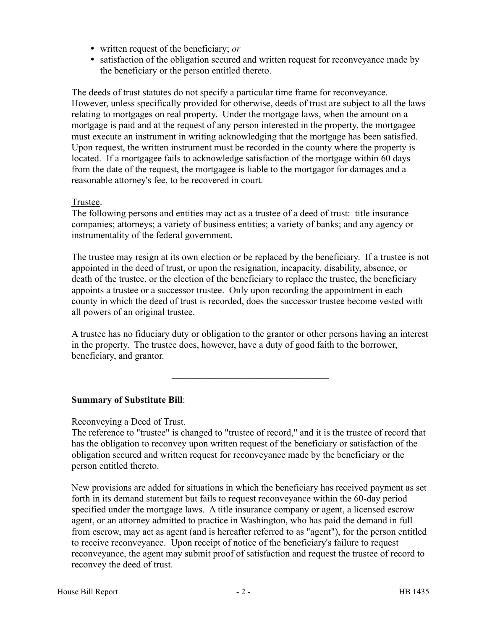- written request of the beneficiary; *or*
- satisfaction of the obligation secured and written request for reconveyance made by the beneficiary or the person entitled thereto.

The deeds of trust statutes do not specify a particular time frame for reconveyance. However, unless specifically provided for otherwise, deeds of trust are subject to all the laws relating to mortgages on real property. Under the mortgage laws, when the amount on a mortgage is paid and at the request of any person interested in the property, the mortgagee must execute an instrument in writing acknowledging that the mortgage has been satisfied. Upon request, the written instrument must be recorded in the county where the property is located. If a mortgagee fails to acknowledge satisfaction of the mortgage within 60 days from the date of the request, the mortgagee is liable to the mortgagor for damages and a reasonable attorney's fee, to be recovered in court.

#### Trustee.

The following persons and entities may act as a trustee of a deed of trust: title insurance companies; attorneys; a variety of business entities; a variety of banks; and any agency or instrumentality of the federal government.

The trustee may resign at its own election or be replaced by the beneficiary. If a trustee is not appointed in the deed of trust, or upon the resignation, incapacity, disability, absence, or death of the trustee, or the election of the beneficiary to replace the trustee, the beneficiary appoints a trustee or a successor trustee. Only upon recording the appointment in each county in which the deed of trust is recorded, does the successor trustee become vested with all powers of an original trustee.

A trustee has no fiduciary duty or obligation to the grantor or other persons having an interest in the property. The trustee does, however, have a duty of good faith to the borrower, beneficiary, and grantor.

–––––––––––––––––––––––––––––––––

# **Summary of Substitute Bill**:

# Reconveying a Deed of Trust.

The reference to "trustee" is changed to "trustee of record," and it is the trustee of record that has the obligation to reconvey upon written request of the beneficiary or satisfaction of the obligation secured and written request for reconveyance made by the beneficiary or the person entitled thereto.

New provisions are added for situations in which the beneficiary has received payment as set forth in its demand statement but fails to request reconveyance within the 60-day period specified under the mortgage laws. A title insurance company or agent, a licensed escrow agent, or an attorney admitted to practice in Washington, who has paid the demand in full from escrow, may act as agent (and is hereafter referred to as "agent"), for the person entitled to receive reconveyance. Upon receipt of notice of the beneficiary's failure to request reconveyance, the agent may submit proof of satisfaction and request the trustee of record to reconvey the deed of trust.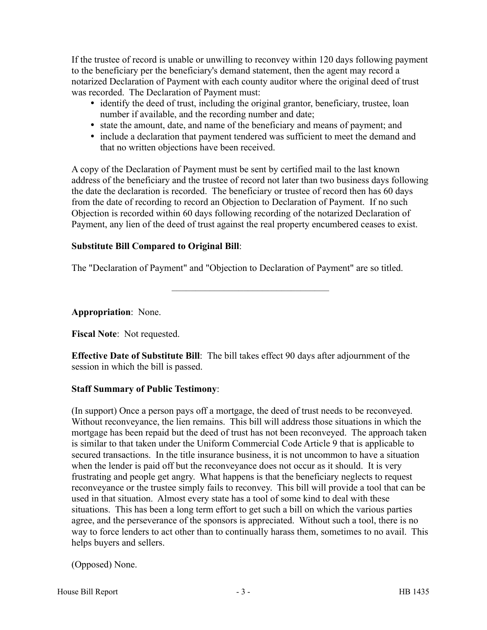If the trustee of record is unable or unwilling to reconvey within 120 days following payment to the beneficiary per the beneficiary's demand statement, then the agent may record a notarized Declaration of Payment with each county auditor where the original deed of trust was recorded. The Declaration of Payment must:

- identify the deed of trust, including the original grantor, beneficiary, trustee, loan number if available, and the recording number and date;
- state the amount, date, and name of the beneficiary and means of payment; and
- include a declaration that payment tendered was sufficient to meet the demand and that no written objections have been received.

A copy of the Declaration of Payment must be sent by certified mail to the last known address of the beneficiary and the trustee of record not later than two business days following the date the declaration is recorded. The beneficiary or trustee of record then has 60 days from the date of recording to record an Objection to Declaration of Payment. If no such Objection is recorded within 60 days following recording of the notarized Declaration of Payment, any lien of the deed of trust against the real property encumbered ceases to exist.

# **Substitute Bill Compared to Original Bill**:

The "Declaration of Payment" and "Objection to Declaration of Payment" are so titled.

–––––––––––––––––––––––––––––––––

**Appropriation**: None.

**Fiscal Note**: Not requested.

**Effective Date of Substitute Bill**: The bill takes effect 90 days after adjournment of the session in which the bill is passed.

# **Staff Summary of Public Testimony**:

(In support) Once a person pays off a mortgage, the deed of trust needs to be reconveyed. Without reconveyance, the lien remains. This bill will address those situations in which the mortgage has been repaid but the deed of trust has not been reconveyed. The approach taken is similar to that taken under the Uniform Commercial Code Article 9 that is applicable to secured transactions. In the title insurance business, it is not uncommon to have a situation when the lender is paid off but the reconveyance does not occur as it should. It is very frustrating and people get angry. What happens is that the beneficiary neglects to request reconveyance or the trustee simply fails to reconvey. This bill will provide a tool that can be used in that situation. Almost every state has a tool of some kind to deal with these situations. This has been a long term effort to get such a bill on which the various parties agree, and the perseverance of the sponsors is appreciated. Without such a tool, there is no way to force lenders to act other than to continually harass them, sometimes to no avail. This helps buyers and sellers.

(Opposed) None.